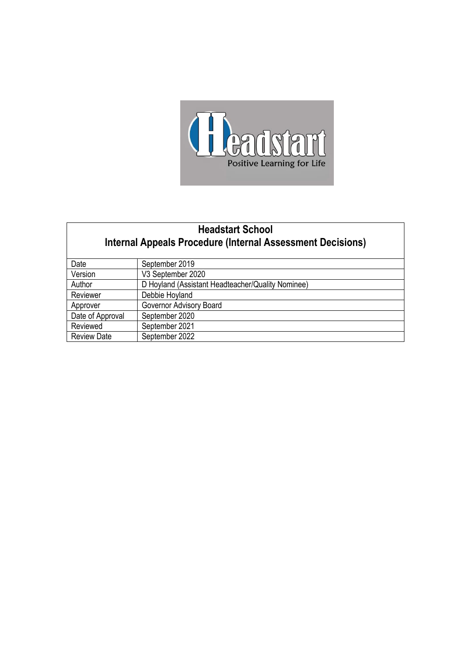

# **Headstart School Internal Appeals Procedure (Internal Assessment Decisions)**

| Date               | September 2019                                    |
|--------------------|---------------------------------------------------|
| Version            | V3 September 2020                                 |
| Author             | D Hoyland (Assistant Headteacher/Quality Nominee) |
| Reviewer           | Debbie Hoyland                                    |
| Approver           | Governor Advisory Board                           |
| Date of Approval   | September 2020                                    |
| Reviewed           | September 2021                                    |
| <b>Review Date</b> | September 2022                                    |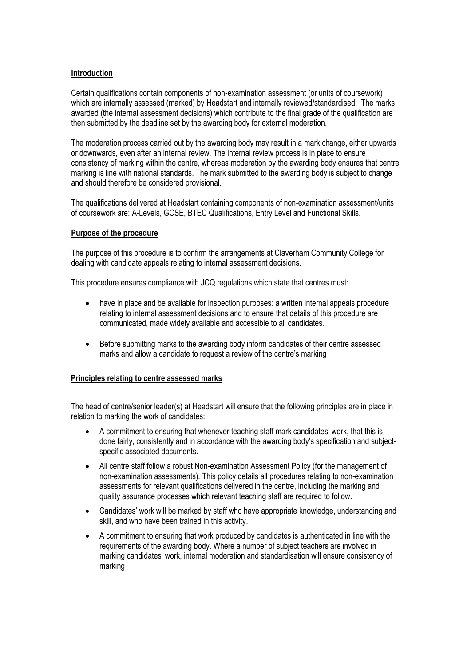### **Introduction**

Certain qualifications contain components of non-examination assessment (or units of coursework) which are internally assessed (marked) by Headstart and internally reviewed/standardised. The marks awarded (the internal assessment decisions) which contribute to the final grade of the qualification are then submitted by the deadline set by the awarding body for external moderation.

The moderation process carried out by the awarding body may result in a mark change, either upwards or downwards, even after an internal review. The internal review process is in place to ensure consistency of marking within the centre, whereas moderation by the awarding body ensures that centre marking is line with national standards. The mark submitted to the awarding body is subject to change and should therefore be considered provisional.

The qualifications delivered at Headstart containing components of non-examination assessment/units of coursework are: A-Levels, GCSE, BTEC Qualifications, Entry Level and Functional Skills.

#### **Purpose of the procedure**

The purpose of this procedure is to confirm the arrangements at Claverham Community College for dealing with candidate appeals relating to internal assessment decisions.

This procedure ensures compliance with JCQ regulations which state that centres must:

- have in place and be available for inspection purposes: a written internal appeals procedure relating to internal assessment decisions and to ensure that details of this procedure are communicated, made widely available and accessible to all candidates.
- Before submitting marks to the awarding body inform candidates of their centre assessed marks and allow a candidate to request a review of the centre's marking

#### **Principles relating to centre assessed marks**

The head of centre/senior leader(s) at Headstart will ensure that the following principles are in place in relation to marking the work of candidates:

- A commitment to ensuring that whenever teaching staff mark candidates' work, that this is done fairly, consistently and in accordance with the awarding body's specification and subjectspecific associated documents.
- All centre staff follow a robust Non-examination Assessment Policy (for the management of non-examination assessments). This policy details all procedures relating to non-examination assessments for relevant qualifications delivered in the centre, including the marking and quality assurance processes which relevant teaching staff are required to follow.
- Candidates' work will be marked by staff who have appropriate knowledge, understanding and skill, and who have been trained in this activity.
- A commitment to ensuring that work produced by candidates is authenticated in line with the requirements of the awarding body. Where a number of subject teachers are involved in marking candidates' work, internal moderation and standardisation will ensure consistency of marking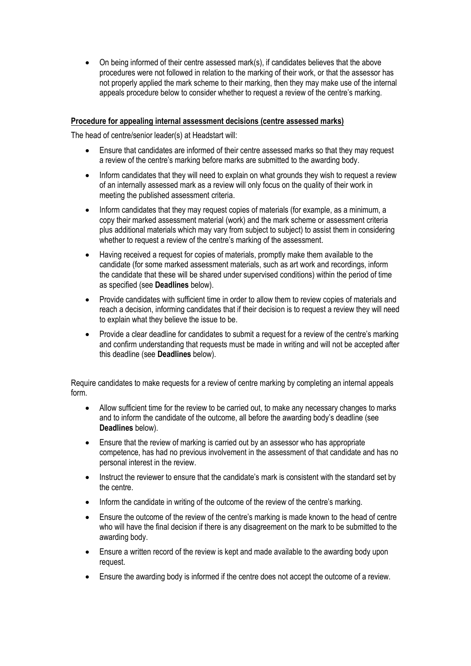• On being informed of their centre assessed mark(s), if candidates believes that the above procedures were not followed in relation to the marking of their work, or that the assessor has not properly applied the mark scheme to their marking, then they may make use of the internal appeals procedure below to consider whether to request a review of the centre's marking.

### **Procedure for appealing internal assessment decisions (centre assessed marks)**

The head of centre/senior leader(s) at Headstart will:

- Ensure that candidates are informed of their centre assessed marks so that they may request a review of the centre's marking before marks are submitted to the awarding body.
- Inform candidates that they will need to explain on what grounds they wish to request a review of an internally assessed mark as a review will only focus on the quality of their work in meeting the published assessment criteria.
- Inform candidates that they may request copies of materials (for example, as a minimum, a copy their marked assessment material (work) and the mark scheme or assessment criteria plus additional materials which may vary from subject to subject) to assist them in considering whether to request a review of the centre's marking of the assessment.
- Having received a request for copies of materials, promptly make them available to the candidate (for some marked assessment materials, such as art work and recordings, inform the candidate that these will be shared under supervised conditions) within the period of time as specified (see **Deadlines** below).
- Provide candidates with sufficient time in order to allow them to review copies of materials and reach a decision, informing candidates that if their decision is to request a review they will need to explain what they believe the issue to be.
- Provide a clear deadline for candidates to submit a request for a review of the centre's marking and confirm understanding that requests must be made in writing and will not be accepted after this deadline (see **Deadlines** below).

Require candidates to make requests for a review of centre marking by completing an internal appeals form.

- Allow sufficient time for the review to be carried out, to make any necessary changes to marks and to inform the candidate of the outcome, all before the awarding body's deadline (see **Deadlines** below).
- Ensure that the review of marking is carried out by an assessor who has appropriate competence, has had no previous involvement in the assessment of that candidate and has no personal interest in the review.
- Instruct the reviewer to ensure that the candidate's mark is consistent with the standard set by the centre.
- Inform the candidate in writing of the outcome of the review of the centre's marking.
- Ensure the outcome of the review of the centre's marking is made known to the head of centre who will have the final decision if there is any disagreement on the mark to be submitted to the awarding body.
- Ensure a written record of the review is kept and made available to the awarding body upon request.
- Ensure the awarding body is informed if the centre does not accept the outcome of a review.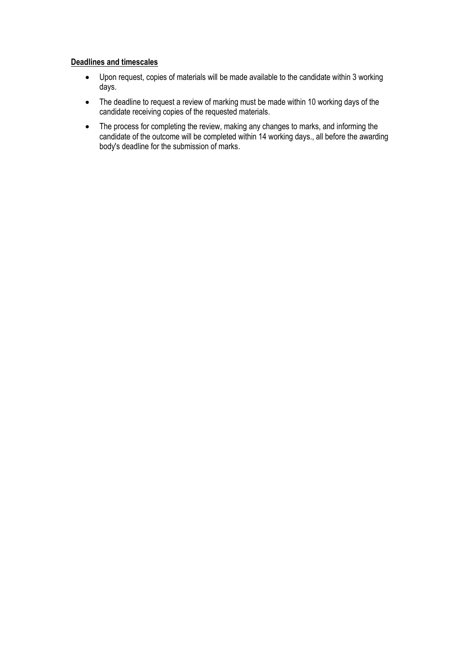### **Deadlines and timescales**

- Upon request, copies of materials will be made available to the candidate within 3 working days.
- The deadline to request a review of marking must be made within 10 working days of the candidate receiving copies of the requested materials.
- The process for completing the review, making any changes to marks, and informing the candidate of the outcome will be completed within 14 working days., all before the awarding body's deadline for the submission of marks.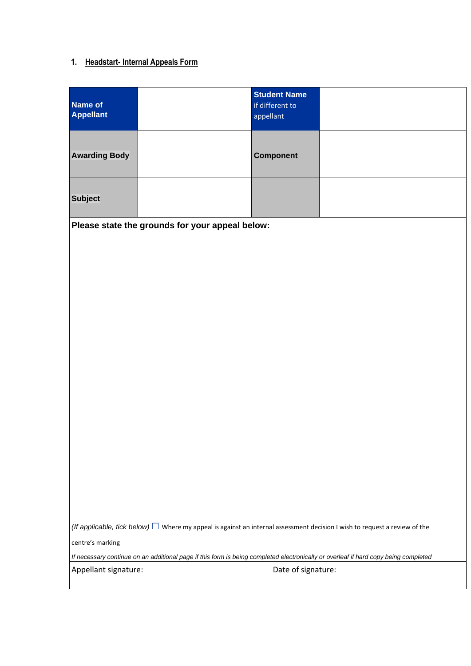# **1. Headstart- Internal Appeals Form**

| Name of<br>Appellant | <b>Student Name</b><br>if different to<br>appellant |  |
|----------------------|-----------------------------------------------------|--|
| <b>Awarding Body</b> | <b>Component</b>                                    |  |
| <b>Subject</b>       |                                                     |  |

**Please state the grounds for your appeal below:**

*(If applicable, tick below)*  $\Box$  Where my appeal is against an internal assessment decision I wish to request a review of the

centre's marking

*If necessary continue on an additional page if this form is being completed electronically or overleaf if hard copy being completed*

Appellant signature:  $\qquad \qquad$  Date of signature: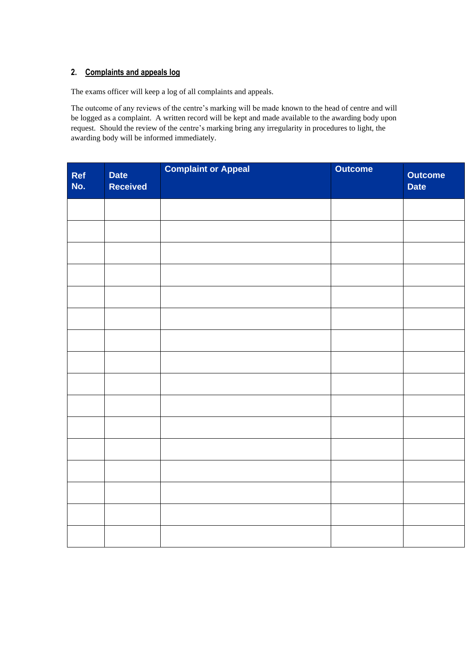### **2. Complaints and appeals log**

The exams officer will keep a log of all complaints and appeals.

The outcome of any reviews of the centre's marking will be made known to the head of centre and will be logged as a complaint. A written record will be kept and made available to the awarding body upon request. Should the review of the centre's marking bring any irregularity in procedures to light, the awarding body will be informed immediately.

| Ref<br>No. | <b>Date</b><br><b>Received</b> | <b>Complaint or Appeal</b> | <b>Outcome</b> | <b>Outcome</b><br><b>Date</b> |
|------------|--------------------------------|----------------------------|----------------|-------------------------------|
|            |                                |                            |                |                               |
|            |                                |                            |                |                               |
|            |                                |                            |                |                               |
|            |                                |                            |                |                               |
|            |                                |                            |                |                               |
|            |                                |                            |                |                               |
|            |                                |                            |                |                               |
|            |                                |                            |                |                               |
|            |                                |                            |                |                               |
|            |                                |                            |                |                               |
|            |                                |                            |                |                               |
|            |                                |                            |                |                               |
|            |                                |                            |                |                               |
|            |                                |                            |                |                               |
|            |                                |                            |                |                               |
|            |                                |                            |                |                               |